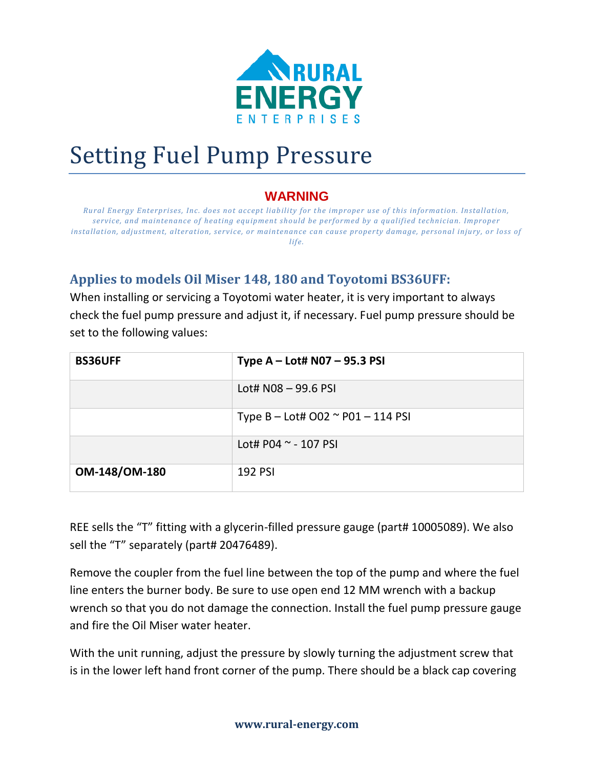

## Setting Fuel Pump Pressure

## **WARNING**

*Rural Energy Enterprises, Inc. does not accept liability for the improper use of this information. Installation, service, and maintenance of heating equipment should be performed by a qualified technician. Improper installation, adjustment, alteration, service, or maintenance can cause property damage, personal injury, or loss of life.*

## **Applies to models Oil Miser 148, 180 and Toyotomi BS36UFF:**

When installing or servicing a Toyotomi water heater, it is very important to always check the fuel pump pressure and adjust it, if necessary. Fuel pump pressure should be set to the following values:

| <b>BS36UFF</b>       | Type $A - Lott$ NO7 - 95.3 PSI         |
|----------------------|----------------------------------------|
|                      | Lot# $N08 - 99.6$ PSI                  |
|                      | Type B – Lot# O02 $\sim$ P01 – 114 PSI |
|                      | Lot# P04 ~ - 107 PSI                   |
| <b>OM-148/OM-180</b> | <b>192 PSI</b>                         |

REE sells the "T" fitting with a glycerin-filled pressure gauge (part# 10005089). We also sell the "T" separately (part# 20476489).

Remove the coupler from the fuel line between the top of the pump and where the fuel line enters the burner body. Be sure to use open end 12 MM wrench with a backup wrench so that you do not damage the connection. Install the fuel pump pressure gauge and fire the Oil Miser water heater.

With the unit running, adjust the pressure by slowly turning the adjustment screw that is in the lower left hand front corner of the pump. There should be a black cap covering